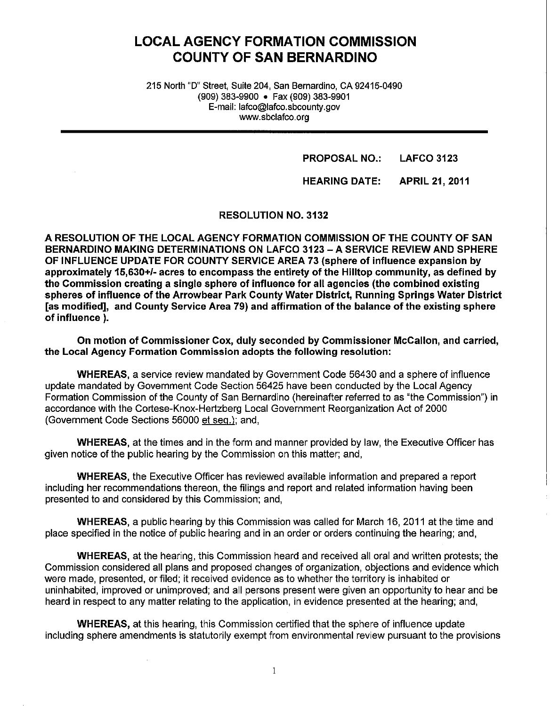# **LOCAL AGENCY FORMATION COMMISSION COUNTY OF SAN BERNARDINO**

215 North "D" Street, Suite 204, San Bernardino, CA 92415-0490 (909) 383-9900 • Fax (909) 383-9901 E-mail: lafco@lafco.sbcounty.gov www.sbclafco.org

#### **PROPOSAL NO.: LAFCO 3123**

### **HEARING DATE: APRIL 21, 2011**

**RESOLUTION NO. 3132** 

**A RESOLUTION OF THE LOCAL AGENCY FORMATION COMMISSION OF THE COUNTY OF SAN BERNARDINO MAKING DETERMINATIONS ON LAFCO 3123-A SERVICE REVIEW AND SPHERE OF INFLUENCE UPDATE FOR COUNTY SERVICE AREA 73 (sphere of influence expansion by approximately 15,630+/- acres to encompass the entirety of the Hilltop community, as defined by the Commission creating a single sphere of influence for all agencies (the combined existing spheres of influence of the Arrowbear Park County Water District, Running Springs Water District [as modified], and County Service Area 79) and affirmation of the balance of the existing sphere of influence** ).

**On motion of Commissioner Cox, duly seconded by Commissioner McCallon, and carried, the Local Agency Formation Commission adopts the following resolution:** 

**WHEREAS,** a service review mandated by Government Code 56430 and a sphere of influence update mandated by Government Code Section 56425 have been conducted by the Local Agency Formation Commission of the County of San Bernardino (hereinafter referred to as "the Commission") in accordance with the Cortese-Knox-Hertzberg Local Government Reorganization Act of 2000 (Government Code Sections 56000 et seq.); and,

**WHEREAS,** at the times and in the form and manner provided by law, the Executive Officer has given notice of the public hearing by the Commission on this matter; and,

**WHEREAS,** the Executive Officer has reviewed available information and prepared a report including her recommendations thereon, the filings and report and related information having been presented to and considered by this Commission; and,

**WHEREAS,** a public hearing by this Commission was called for March 16, 2011 at the time and place specified in the notice of public hearing and in an order or orders continuing the hearing; and,

**WHEREAS,** at the hearing, this Commission heard and received all oral and written protests; the Commission considered all plans and proposed changes of organization, objections and evidence which were made, presented, or filed; it received evidence as to whether the territory is inhabited or uninhabited, improved or unimproved; and all persons present were given an opportunity to hear and be heard in respect to any matter relating to the application, in evidence presented at the hearing; and,

**WHEREAS,** at this hearing, this Commission certified that the sphere of influence update including sphere amendments is statutorily exempt from environmental review pursuant to the provisions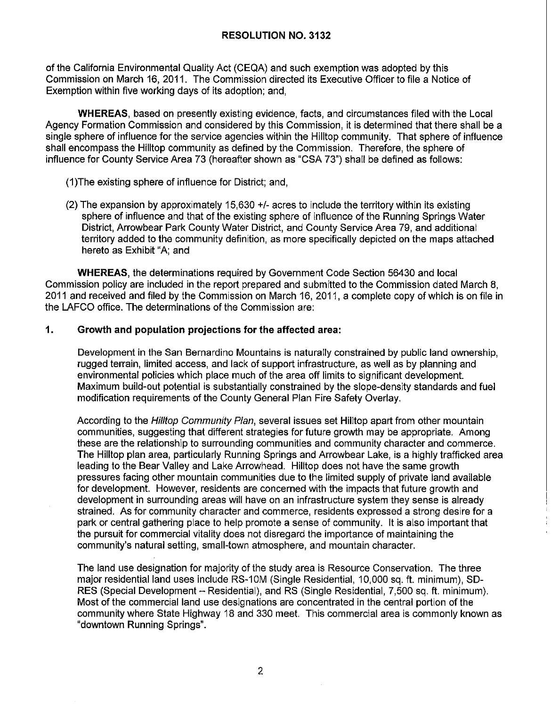of the California Environmental Quality Act (CEQA) and such exemption was adopted by this Commission on March 16, 2011. The Commission directed its Executive Officer to file a Notice of Exemption within five working days of its adoption; and,

**WHEREAS,** based on presently existing evidence, facts, and circumstances filed with the Local Agency Formation Commission and considered by this Commission, it is determined that there shall be a single sphere of influence for the service agencies within the Hilltop community. That sphere of influence shall encompass the Hilltop community as defined by the Commission. Therefore, the sphere of influence for County Service Area 73 (hereafter shown as "CSA 73") shall be defined as follows:

- (1)The existing sphere of influence for District; and,
- (2) The expansion by approximately 15,630 +/- acres to include the territory within its existing sphere of influence and that of the existing sphere of influence of the Running Springs Water District, Arrowbear Park County Water District, and County Service Area 79, and additional territory added to the community definition, as more specifically depicted on the maps attached hereto as Exhibit "A; and

**WHEREAS,** the determinations required by Government Code Section 56430 and local Commission policy are included in the report prepared and submitted to the Commission dated March 8, 2011 and received and filed by the Commission on March 16, 2011, a complete copy of which is on file in the LAFCO office. The determinations of the Commission are:

### **1. Growth and population projections for the affected area:**

Development in the San Bernardino Mountains is naturally constrained by public land ownership, rugged terrain, limited access, and lack of support infrastructure, as well as by planning and environmental policies which place much of the area off limits to significant development. Maximum build-out potential is substantially constrained by the slope-density standards and fuel modification requirements of the County General Plan Fire Safety Overlay.

According to the Hilltop Community Plan, several issues set Hilltop apart from other mountain communities, suggesting that different strategies for future growth may be appropriate. Among these are the relationship to surrounding communities and community character and commerce. The Hilltop plan area, particularly Running Springs and Arrowbear Lake, is a highly trafficked area leading to the Bear Valley and Lake Arrowhead. Hilltop does not have the same growth pressures facing other mountain communities due to the limited supply of private land available for development. However, residents are concerned with the impacts that future growth and development in surrounding areas will have on an infrastructure system they sense is already strained. As for community character and commerce, residents expressed a strong desire for a park or central gathering place to help promote a sense of community. It is also important that the pursuit for commercial vitality does not disregard the importance of maintaining the community's natural setting, small-town atmosphere, and mountain character.

The land use designation for majority of the study area is Resource Conservation. The three major residential land uses include RS-10M (Single Residential, 10,000 sq. ft. minimum), SD-RES (Special Development - Residential), and RS (Single Residential, 7,500 sq. ft. minimum). Most of the commercial land use designations are concentrated in the central portion of the community where State Highway 18 and 330 meet. This commercial area is commonly known as "downtown Running Springs".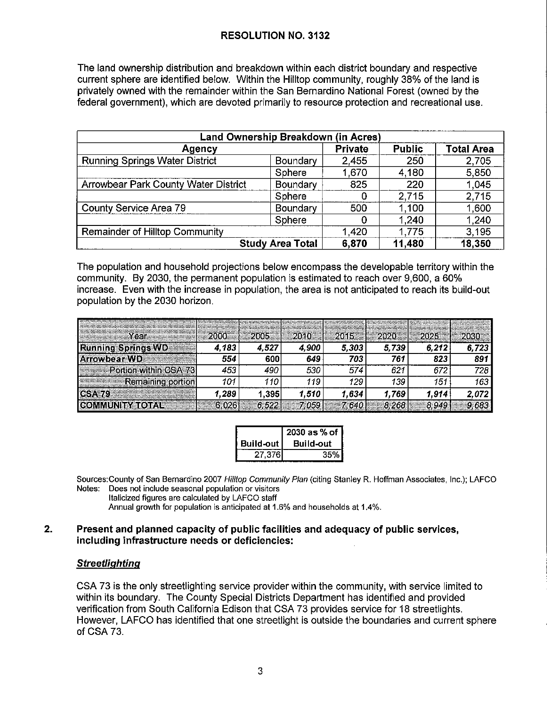The land ownership distribution and breakdown within each district boundary and respective current sphere are identified below. Within the Hilltop community, roughly 38% of the land is privately owned with the remainder within the San Bernardino National Forest (owned by the federal government), which are devoted primarily to resource protection and recreational use.

| Land Ownership Breakdown (in Acres)              |                         |                |               |                   |  |  |
|--------------------------------------------------|-------------------------|----------------|---------------|-------------------|--|--|
| Agency                                           |                         | <b>Private</b> | <b>Public</b> | <b>Total Area</b> |  |  |
| <b>Running Springs Water District</b>            | Boundary                | 2,455          | 250           | 2,705             |  |  |
|                                                  | Sphere                  | 1,670          | 4,180         | 5,850             |  |  |
| Arrowbear Park County Water District<br>Boundary |                         | 825            | 220           | 1,045             |  |  |
|                                                  | Sphere                  | 0              | 2,715         | 2,715             |  |  |
| County Service Area 79<br>Boundary               |                         | 500            | 1,100         | 1,600             |  |  |
|                                                  | Sphere                  | Ω              | 1,240         | 1,240             |  |  |
| <b>Remainder of Hilltop Community</b>            | 1,420                   | 1,775          | 3,195         |                   |  |  |
|                                                  | <b>Study Area Total</b> | 6,870          | 11,480        | 18,350            |  |  |

The population and household projections below encompass the developable territory within the community. By 2030, the permanent population is estimated to reach over 9,600, a 60% increase. Even with the increase in population, the area is not anticipated to reach its build-out population by the 2030 horizon.

| сеа                                    |      |       |       | 2005 2010 2015 2020 2025 |       |       |       |
|----------------------------------------|------|-------|-------|--------------------------|-------|-------|-------|
| <b>Running Springs WD</b>              | .183 | 4.527 | 4.900 | 5.303                    | 5.739 | 6.212 |       |
| Arrowbear WD <b>Service State</b>      | 554  | 600   | 649   | 703                      | 761   |       | 891   |
| <b>Example 1</b> Portion within CSA 73 | 453  | 490   | 530   | 574                      | 621   |       | 728.  |
| <b>Remaining portion</b>               |      | 110   | 119   | 129                      | 139   | 151   | 163   |
|                                        | .289 | 1.395 | 1.510 | 1,634                    | .769  | 1.914 | 2.072 |
|                                        |      |       |       |                          |       |       |       |

|               | $2030$ as % of   |
|---------------|------------------|
| │ Build-out │ | <b>Build-out</b> |
| 27,376        | 35%              |

Sources:County of San Bernardino 2007 Hilltop Community Plan (citing Stanley R. Hoffman Associates, Inc.); LAFCO Notes: Does not include seasonal population or visitors

Italicized figures are calculated by LAFCO staff

Annual growth for population is anticipated at 1.6% and households at 1.4%.

### **2. Present and planned capacity of public facilities and adequacy of public services, including infrastructure needs or deficiencies:**

### **Streetlighting**

CSA 73 is the only streetlighting service provider within the community, with service limited to within its boundary. The County Special Districts Department has identified and provided verification from South California Edison that CSA 73 provides service for 18 streetlights. However, LAFCO has identified that one streetlight is outside the boundaries and current sphere of CSA 73.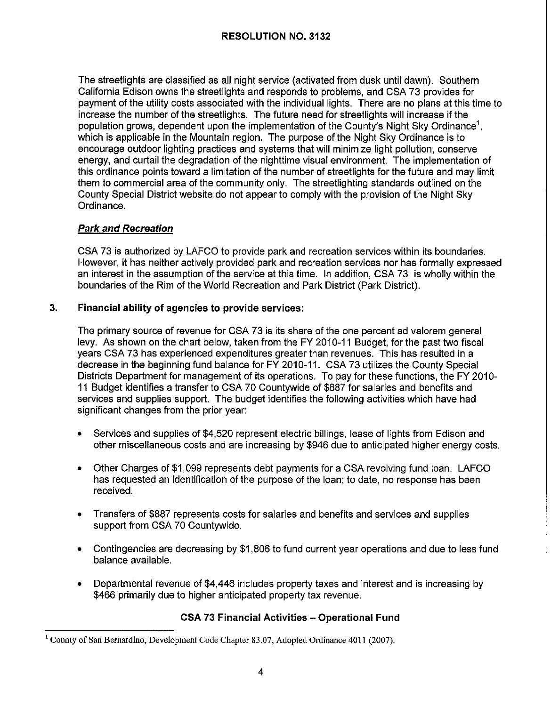The streetlights are classified as all night service (activated from dusk until dawn). Southern California Edison owns the streetlights and responds to problems, and CSA 73 provides for payment of the utility costs associated with the individual lights. There are no plans at this time to increase the number of the streetlights. The future need for streetlights will increase if the population grows, dependent upon the implementation of the County's Night Sky Ordinance<sup>1</sup>, which is applicable in the Mountain region. The purpose of the Night Sky Ordinance is to encourage outdoor lighting practices and systems that will minimize light pollution, conserve energy, and curtail the degradation of the nighttime visual environment. The implementation of this ordinance points toward a limitation of the number of streetlights for the future and may limit them to commercial area of the community only. The streetlighting standards outlined on the County Special District website do not appear to comply with the provision of the Night Sky Ordinance.

## **Park and Recreation**

CSA 73 is authorized by LAFCO to provide park and recreation services within its boundaries. However, it has neither actively provided park and recreation services nor has formally expressed an interest in the assumption of the service at this time. In addition, CSA 73 is wholly within the boundaries of the Rim of the World Recreation and Park District (Park District).

## **3. Financial ability of agencies to provide services:**

The primary source of revenue for CSA 73 is its share of the one percent ad valorem general levy. As shown on the chart below, taken from the FY 2010-11 Budget, for the past two fiscal years CSA 73 has experienced expenditures greater than revenues. This has resulted in a decrease in the beginning fund balance for FY 2010-11. CSA 73 utilizes the County Special Districts Department for management of its operations. To pay for these functions, the FY 2010- 11 Budget identifies a transfer to CSA 70 Countywide of \$887 for salaries and benefits and services and supplies support. The budget identifies the following activities which have had significant changes from the prior year:

- Services and supplies of \$4,520 represent electric billings, lease of lights from Edison and other miscellaneous costs and are increasing by \$946 due to anticipated higher energy costs.
- Other Charges of \$1,099 represents debt payments for a CSA revolving fund loan. LAFCO has requested an identification of the purpose of the loan; to date, no response has been received.
- Transfers of \$887 represents costs for salaries and benefits and services and supplies support from CSA 70 Countywide.
- Contingencies are decreasing by \$1,806 to fund current year operations and due to less fund balance available.
- Departmental revenue of \$4,446 includes property taxes and interest and is increasing by \$466 primarily due to higher anticipated property tax revenue.

## **CSA 73 Financial Activities - Operational Fund**

<sup>1</sup> County of San Bernardino, Development Code Chapter 83.07, Adopted Ordinance 4011 (2007).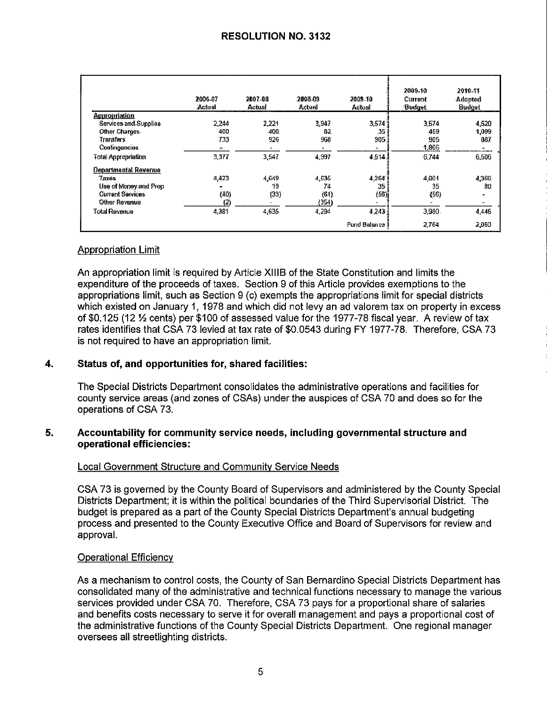|                            | 2006-07<br>Actual. | 2007-08<br><b>Actual</b> | 2008-09<br>Actual | 2009-10<br>Actual | 2009-10<br>Current<br><b>Budget</b> | 2010-11<br><b>Adopted</b><br><b>Budget</b> |
|----------------------------|--------------------|--------------------------|-------------------|-------------------|-------------------------------------|--------------------------------------------|
| <b>Appropriation</b>       |                    |                          |                   |                   |                                     |                                            |
| Services and Supplies      | 2.244              | 2.221                    | 3,947             | 3,574             | 3,574                               | 4,520                                      |
| Other Charges              | 400                | 400                      | -82               | .35               | 459                                 | 1,099                                      |
| <b>Transfers</b>           | 733                | 926                      | 968               | 905.              | 905                                 | 867                                        |
| Contingencies              | æ.                 |                          |                   |                   | 1,806                               |                                            |
| <b>Total Appropriation</b> | 3,377              | 3,547                    | 4.397             | 4.514             | 6.744                               | 6,506                                      |
| Departmental Revenue       |                    |                          |                   |                   |                                     |                                            |
| Taxes                      | 4,423              | 4,649                    | 4:635             | 4,264             | 4 0 0 1                             | 4,366                                      |
| Use of Money and Prop      |                    | 19                       | 74                | 35.               | 35                                  | 30                                         |
| <b>Current Services</b>    | (40)               | (33)                     | (61)              | (56)              | (56)                                |                                            |
| Other Revenue              | $^{(2)}$           |                          | (354)             |                   |                                     |                                            |
| <b>Total Revenue</b>       | 4,381              | 4,635                    | 4,294             | 4.243             | 3.980                               | 4,446                                      |
|                            |                    |                          |                   | Fund Balance      | 2,764                               | 2,060                                      |

### **Appropriation Limit**

An appropriation limit is required by Article XIIIB of the State Constitution and limits the expenditure of the proceeds of taxes. Section 9 of this Article provides exemptions to the appropriations limit, such as Section 9 (c) exempts the appropriations limit for special districts which existed on January 1, 1978 and which did not levy an ad valorem tax on property in excess of \$0.125 (12 % cents) per \$100 of assessed value for the 1977-78 fiscal year. A review of tax rates identifies that CSA 73 levied at tax rate of \$0.0543 during FY 1977-78. Therefore, CSA 73 is not required to have an appropriation limit.

### Status of, and opportunities for, shared facilities:  $\overline{\mathbf{4}}$ .

The Special Districts Department consolidates the administrative operations and facilities for county service areas (and zones of CSAs) under the auspices of CSA 70 and does so for the operations of CSA 73.

### 5. Accountability for community service needs, including governmental structure and operational efficiencies:

### Local Government Structure and Community Service Needs

CSA 73 is governed by the County Board of Supervisors and administered by the County Special Districts Department; it is within the political boundaries of the Third Supervisorial District. The budget is prepared as a part of the County Special Districts Department's annual budgeting process and presented to the County Executive Office and Board of Supervisors for review and approval.

### **Operational Efficiency**

As a mechanism to control costs, the County of San Bernardino Special Districts Department has consolidated many of the administrative and technical functions necessary to manage the various services provided under CSA 70. Therefore, CSA 73 pays for a proportional share of salaries and benefits costs necessary to serve it for overall management and pays a proportional cost of the administrative functions of the County Special Districts Department. One regional manager oversees all streetlighting districts.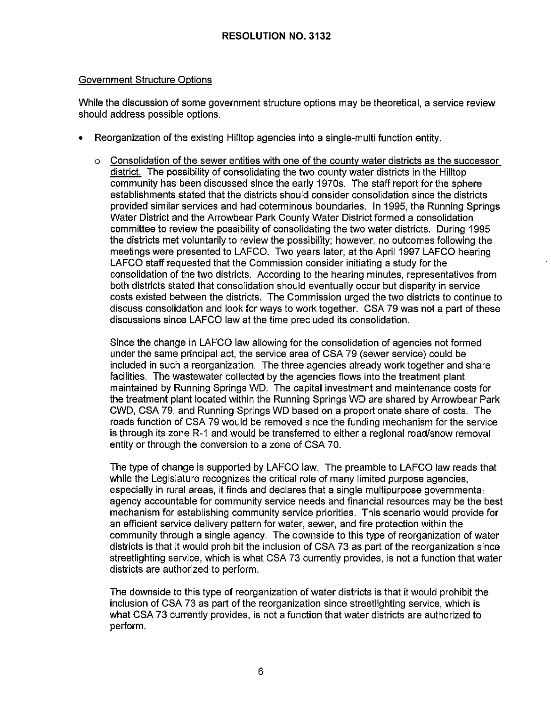### Government Structure Options

While the discussion of some government structure options may be theoretical, a service review should address possible options.

- Reorganization of the existing Hilltop agencies into a single-multi function entity.
	- $\circ$  Consolidation of the sewer entities with one of the county water districts as the successor district. The possibility of consolidating the two county water districts in the Hilltop community has been discussed since the early 1970s. The staff report for the sphere establishments stated that the districts should consider consolidation since the districts provided similar services and had coterminous boundaries. In 1995, the Running Springs Water District and the Arrowbear Park County Water District formed a consolidation committee to review the possibility of consolidating the two water districts. During 1995 the districts met voluntarily to review the possibility; however, no outcomes following the meetings were presented to LAFCO. Two years later, at the April 1997 LAFCO hearing LAFCO staff requested that the Commission consider initiating a study for the consolidation of the two districts. According to the hearing minutes, representatives from both districts stated that consolidation should eventually occur but disparity in service costs existed between the districts. The Commission urged the two districts to continue to discuss consolidation and look for ways to work together. CSA 79 was not a part of these discussions since LAFCO law at the time precluded its consolidation.

Since the change in LAFCO law allowing for the consolidation of agencies not formed under the same principal act, the service area of CSA 79 (sewer service) could be included in such a reorganization. The three agencies already work together and share facilities. The wastewater collected by the agencies flows into the treatment plant maintained by Running Springs WO. The capital investment and maintenance costs for the treatment plant located within the Running Springs WO are shared by Arrowbear Park CWD, CSA 79, and Running Springs WO based on a proportionate share of costs. The roads function of CSA 79 would be removed since the funding mechanism for the service is through its zone R-1 and would be transferred to either a regional road/snow removal entity or through the conversion to a zone of CSA 70.

The type of change is supported by LAFCO law. The preamble to LAFCO law reads that while the Legislature recognizes the critical role of many limited purpose agencies, especially in rural areas, it finds and declares that a single multipurpose governmental agency accountable for community service needs and financial resources may be the best mechanism for establishing community service priorities. This scenario would provide for an efficient service delivery pattern for water, sewer, and fire protection within the community through a single agency. The downside to this type of reorganization of water districts is that it would prohibit the inclusion of CSA 73 as part of the reorganization since streetlighting service, which is what CSA 73 currently provides, is not a function that water districts are authorized to perform.

The downside to this type of reorganization of water districts is that it would prohibit the inclusion of CSA 73 as part of the reorganization since streetlighting service, which is what CSA 73 currently provides, is not a function that water districts are authorized to perform.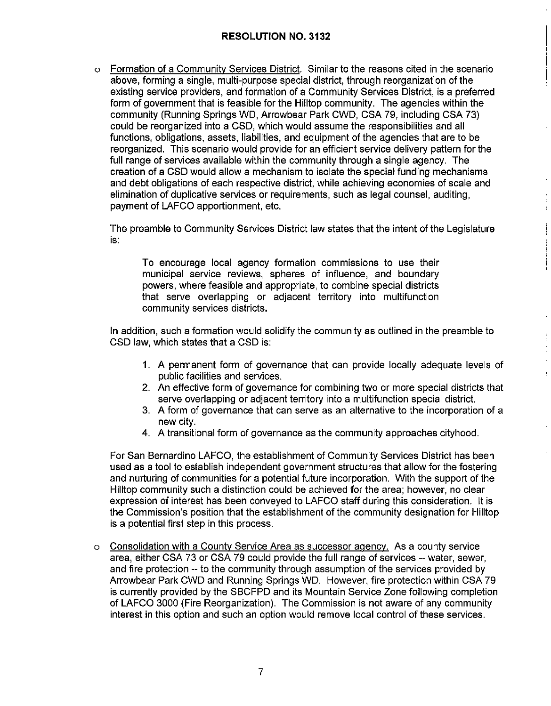o Formation of a Community Services District. Similar to the reasons cited in the scenario above, forming a single, multi-purpose special district, through reorganization of the existing service providers, and formation of a Community Services District, is a preferred form of government that is feasible for the Hilltop community. The agencies within the community (Running Springs WD, Arrowbear Park CWD, CSA 79, including CSA 73) could be reorganized into a CSD, which would assume the responsibilities and all functions, obligations, assets, liabilities, and equipment of the agencies that are to be reorganized. This scenario would provide for an efficient service delivery pattern for the full range of services available within the community through a single agency. The creation of a CSD would allow a mechanism to isolate the special funding mechanisms and debt obligations of each respective district, while achieving economies of scale and elimination of duplicative services or requirements, such as legal counsel, auditing, payment of LAFCO apportionment, etc.

The preamble to Community Services District law states that the intent of the Legislature is:

To encourage local agency formation commissions to use their municipal service reviews, spheres of influence, and boundary powers, where feasible and appropriate, to combine special districts that serve overlapping or adjacent territory into multifunction community services districts.

In addition, such a formation would solidify the community as outlined in the preamble to CSD law, which states that a CSD is:

- 1. A permanent form of governance that can provide locally adequate levels of public facilities and services.
- 2. An effective form of governance for combining two or more special districts that serve overlapping or adjacent territory into a multifunction special district.
- 3. A form of governance that can serve as an alternative to the incorporation of a new city.
- 4. A transitional form of governance as the community approaches cityhood.

For San Bernardino LAFCO, the establishment of Community Services District has been used as a tool to establish independent government structures that allow for the fostering and nurturing of communities for a potential future incorporation. With the support of the Hilltop community such a distinction could be achieved for the area; however, no clear expression of interest has been conveyed to LAFCO staff during this consideration. It is the Commission's position that the establishment of the community designation for Hilltop is a potential first step in this process.

o Consolidation with a County Service Area as successor agency. As a county service area, either CSA 73 or CSA 79 could provide the full range of services -- water, sewer, and fire protection -- to the community through assumption of the services provided by Arrowbear Park CWD and Running Springs WD. However, fire protection within CSA 79 is currently provided by the SBCFPD and its Mountain Service Zone following completion of LAFCO 3000 (Fire Reorganization). The Commission is not aware of any community interest in this option and such an option would remove local control of these services.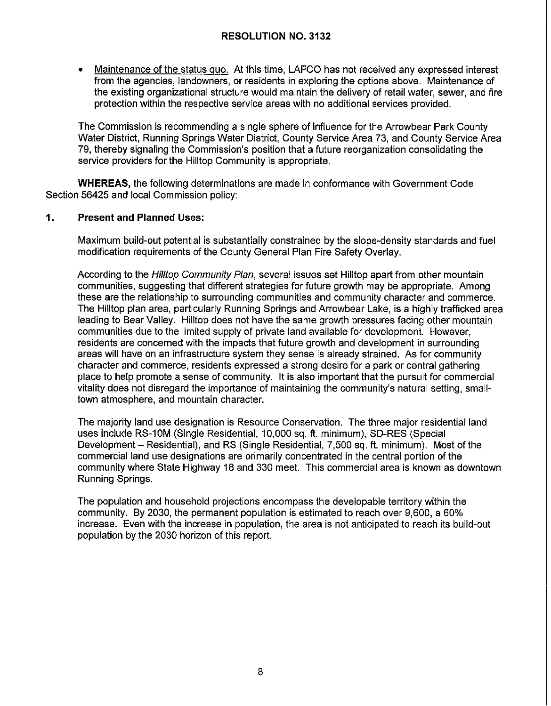• Maintenance of the status quo. At this time, LAFCO has not received any expressed interest from the agencies, landowners, or residents in exploring the options above. Maintenance of the existing organizational structure would maintain the delivery of retail water, sewer, and fire protection within the respective service areas with no additional services provided.

The Commission is recommending a single sphere of influence for the Arrowbear Park County Water District, Running Springs Water District, County Service Area 73, and County Service Area 79, thereby signaling the Commission's position that a future reorganization consolidating the service providers for the Hilltop Community is appropriate.

**WHEREAS,** the following determinations are made in conformance with Government Code Section 56425 and local Commission policy:

### **1. Present and Planned Uses:**

Maximum build-out potential is substantially constrained by the slope-density standards and fuel modification requirements of the County General Plan Fire Safety Overlay.

According to the Hilltop Community Plan, several issues set Hilltop apart from other mountain communities, suggesting that different strategies for future growth may be appropriate. Among these are the relationship to surrounding communities and community character and commerce. The Hilltop plan area, particularly Running Springs and Arrowbear Lake, is a highly trafficked area leading to Bear Valley. Hilltop does not have the same growth pressures facing other mountain communities due to the limited supply of private land available for development. However, residents are concerned with the impacts that future growth and development in surrounding areas will have on an infrastructure system they sense is already strained. As for community character and commerce, residents expressed a strong desire for a park or central gathering place to help promote a sense of community. It is also important that the pursuit for commercial vitality does not disregard the importance of maintaining the community's natural setting, smalltown atmosphere, and mountain character.

The majority land use designation is Resource Conservation. The three major residential land uses include RS-10M (Single Residential, 10,000 sq. ft. minimum), SD-RES (Special Development - Residential), and RS (Single Residential, 7,500 sq. ft. minimum). Most of the commercial land use designations are primarily concentrated in the central portion of the community where State Highway 18 and 330 meet. This commercial area is known as downtown Running Springs.

The population and household projections encompass the developable territory within the community. By 2030, the permanent population is estimated to reach over 9,600, a 60% increase. Even with the increase in population, the area is not anticipated to reach its build-out population by the 2030 horizon of this report.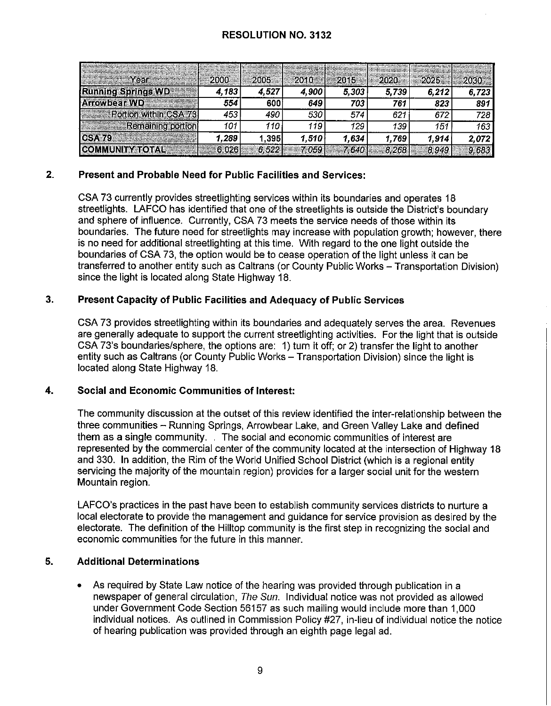| adaptat pagang pagpangan perganaan masa Suatura di Kabupat Magapula Pelurus dalam Pelurus dan ke                                                                                                                                                          | can our concentration by a management of their<br>apparente a production and the fields. | <b>WASHINGTON CONTINUES OF A PRODUCT OF A STATE OF A</b><br>www.community.com/orthodoxy.com/orthodoxy.com | والمتعاملة المتملون المتراكب المستنقر والمستعرب والموارز ومناديا والمرار<br><b>ROAD MAINTAINS MASS DRIVING APPROXIMATE SAVING TO BE THE</b> | and an ancient continues to do to 2 do 2 to 2 to 2<br>15.00 S SALISBO PAR STORAGING COMMUNICATION PHOTOGRAPHS | ha hangan yang kalendaran bermula pemain yang<br>a prime and the production of the state of the control and out of the state<br>AN MAIN BRANDWOOD WAS STRUCK PRODUCT OF THE | <b>Continued by the company's product to the company's continued by the company's product of the company's product</b> | an an an an an an an air t-air a ach an a-chair a |
|-----------------------------------------------------------------------------------------------------------------------------------------------------------------------------------------------------------------------------------------------------------|------------------------------------------------------------------------------------------|-----------------------------------------------------------------------------------------------------------|---------------------------------------------------------------------------------------------------------------------------------------------|---------------------------------------------------------------------------------------------------------------|-----------------------------------------------------------------------------------------------------------------------------------------------------------------------------|------------------------------------------------------------------------------------------------------------------------|---------------------------------------------------|
| a de la componentación de la componentación de la componentación de la componentación de la componentación de<br>En la componentación de la componentación de la componentación de la componentación de la componentación de la<br><b>Year and Search</b> |                                                                                          |                                                                                                           |                                                                                                                                             |                                                                                                               |                                                                                                                                                                             |                                                                                                                        |                                                   |
| <b>Running Springs WD</b>                                                                                                                                                                                                                                 | 4.183                                                                                    | 4.527                                                                                                     | 4,900                                                                                                                                       | 5,303                                                                                                         | 5.739                                                                                                                                                                       | 6.212                                                                                                                  | 723                                               |
| Arrowbear WD                                                                                                                                                                                                                                              | 554                                                                                      | 600                                                                                                       | 649                                                                                                                                         | 703                                                                                                           | 761                                                                                                                                                                         | 823                                                                                                                    | 891                                               |
| <b>Portion within CSA 73</b>                                                                                                                                                                                                                              | 453                                                                                      | 490                                                                                                       | 530                                                                                                                                         | 574                                                                                                           | 621                                                                                                                                                                         |                                                                                                                        | 728                                               |
| <b>No. 2018 Remaining portion</b>                                                                                                                                                                                                                         |                                                                                          | 110                                                                                                       | 119                                                                                                                                         | 129                                                                                                           | 139                                                                                                                                                                         | 151                                                                                                                    | 163                                               |
| <b>CSA 79 Example 20</b>                                                                                                                                                                                                                                  | '.289                                                                                    | 1.395                                                                                                     | 1,510                                                                                                                                       | 1,634.                                                                                                        | 1.769                                                                                                                                                                       | 1.914                                                                                                                  | 2.072                                             |
|                                                                                                                                                                                                                                                           |                                                                                          |                                                                                                           |                                                                                                                                             |                                                                                                               |                                                                                                                                                                             |                                                                                                                        |                                                   |

### **2. Present and Probable Need for Public Facilities and Services:**

CSA 73 currently provides streetlighting services within its boundaries and operates 18 streetlights. LAFCO has identified that one of the streetlights is outside the District's boundary and sphere of influence. Currently, CSA 73 meets the service needs of those within its boundaries. The future need for streetlights may increase with population growth; however, there is no need for additional streetlighting at this time. With regard to the one light outside the boundaries of CSA 73, the option would be to cease operation of the light unless ii can be transferred to another entity such as Caltrans (or County Public Works - Transportation Division) since the light is located along State Highway 18.

### **3. Present Capacity of Public Facilities and Adequacy of Public Services**

CSA 73 provides streetlighting within its boundaries and adequately serves the area. Revenues are generally adequate to support the current streetlighting activities. For the light that is outside CSA 73's boundaries/sphere, the options are: 1) turn it off; or 2) transfer the light to another entity such as Caltrans (or County Public Works - Transportation Division) since the light is located along State Highway 18.

### **4. Social and Economic Communities of Interest:**

The community discussion at the outset of this review identified the inter-relationship between the three communities - Running Springs, Arrowbear Lake, and Green Valley Lake and defined them as a single community. . The social and economic communities of interest are represented by the commercial center of the community located at the intersection of Highway 18 and 330. In addition, the Rim of the World Unified School District (which is a regional entity servicing the majority of the mountain region) provides for a larger social unit for the western Mountain region.

LAFCO's practices in the past have been to establish community services districts to nurture a local electorate to provide the management and guidance for service provision as desired by the electorate. The definition of the Hilltop community is the first step in recognizing the social and economic communities for the future in this manner.

### **5. Additional Determinations**

• As required by State Law notice of the hearing was provided through publication in a newspaper of general circulation, The Sun. Individual notice was not provided as allowed under Government Code Section 56157 as such mailing would include more than 1,000 individual notices. As outlined in Commission Policy #27, in-lieu of individual notice the notice of hearing publication was provided through an eighth page legal ad.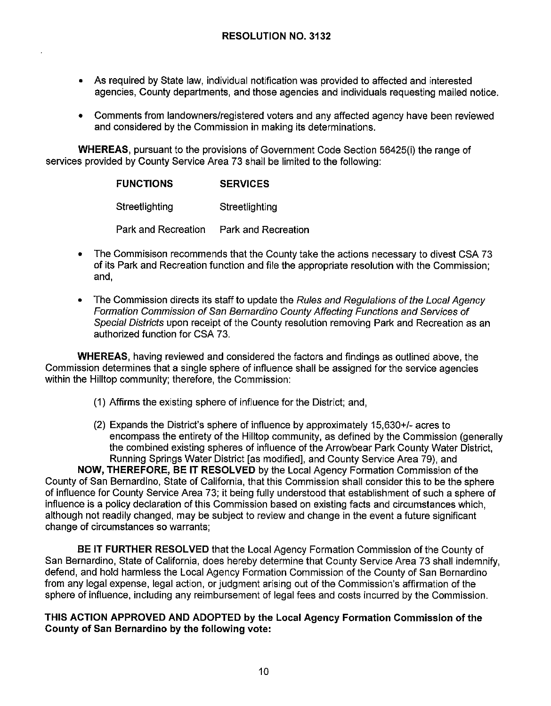- As required by State law, individual notification was provided to affected and interested agencies, County departments, and those agencies and individuals requesting mailed notice.
- Comments from landowners/registered voters and any affected agency have been reviewed and considered by the Commission in making its determinations.

**WHEREAS,** pursuant to the provisions of Government Code Section 56425(i) the range of services provided by County Service Area 73 shall be limited to the following:

| <b>FUNCTIONS</b> | <b>SERVICES</b> |
|------------------|-----------------|
|------------------|-----------------|

Streetlighting Streetlighting

Park and Recreation Park and Recreation

- The Commisison recommends that the County take the actions necessary to divest CSA 73 of its Park and Recreation function and file the appropriate resolution with the Commission; and,
- The Commission directs its staff to update the Rules and Regulations of the Local Agency Formation Commission of San Bernardino County Affecting Functions and Services of Special Districts upon receipt of the County resolution removing Park and Recreation as an authorized function for CSA 73.

**WHEREAS,** having reviewed and considered the factors and findings as outlined above, the Commission determines that a single sphere of influence shall be assigned for the service agencies within the Hilltop community; therefore, the Commission:

- (1) Affirms the existing sphere of influence for the District; and,
- (2) Expands the District's sphere of influence by approximately 15,630+/- acres to encompass the entirety of the Hilltop community, as defined by the Commission (generally the combined existing spheres of influence of the Arrowbear Park County Water District, Running Springs Water District [as modified], and County Service Area 79), and

**NOW, THEREFORE, BE IT RESOLVED** by the Local Agency Formation Commission of the County of San Bernardino, State of California, that this Commission shall consider this to be the sphere of influence for County Service Area 73; it being fully understood that establishment of such a sphere of influence is a policy declaration of this Commission based on existing facts and circumstances which, although not readily changed, may be subject to review and change in the event a future significant change of circumstances so warrants;

**BE IT FURTHER RESOLVED** that the Local Agency Formation Commission of the County of San Bernardino, State of California, does hereby determine that County Service Area 73 shall indemnify, defend, and hold harmless the Local Agency Formation Commission of the County of San Bernardino from any legal expense, legal action, or judgment arising out of the Commission's affirmation of the sphere of influence, including any reimbursement of legal fees and costs incurred by the Commission.

### **THIS ACTION APPROVED AND ADOPTED by the Local Agency Formation Commission of the County of San Bernardino by the following vote:**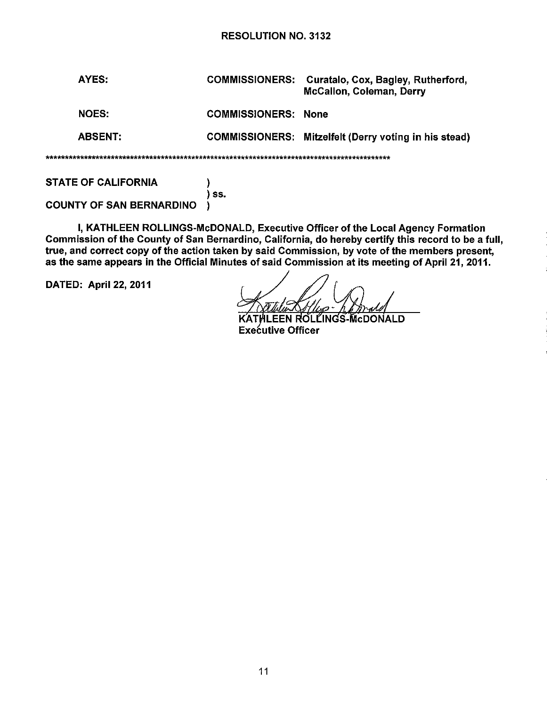|  | AYES:          | <b>COMMISSIONERS:</b>      | Curatalo, Cox, Bagley, Rutherford,<br>McCallon, Coleman, Derry |  |  |
|--|----------------|----------------------------|----------------------------------------------------------------|--|--|
|  | <b>NOES:</b>   | <b>COMMISSIONERS: None</b> |                                                                |  |  |
|  | <b>ABSENT:</b> |                            | COMMISSIONERS: Mitzelfelt (Derry voting in his stead)          |  |  |
|  |                |                            |                                                                |  |  |

STATE OF CALIFORNIA  $)$ 

) 55. COUNTY OF SAN BERNARDINO )

I, KATHLEEN ROLLINGS-McDONALD, Executive Officer of the Local Agency Formation Commission of the County of San Bernardino, California, do hereby certify this record to be a full, true, and correct copy of the action taken by said Commission, by vote of the members present, as the same appears in the Official Minutes of said Commission at its meeting of April 21, 2011.

DATED: April 22, 2011

÷

EEN ROL LINGS-McDONALD. Executive Officer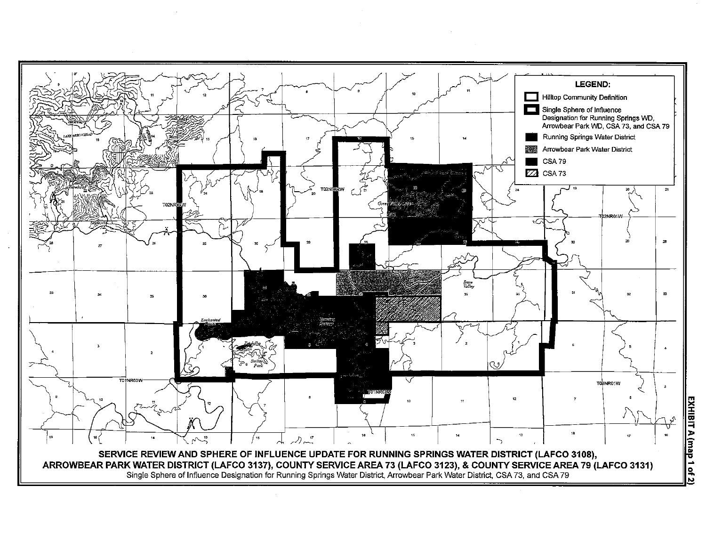